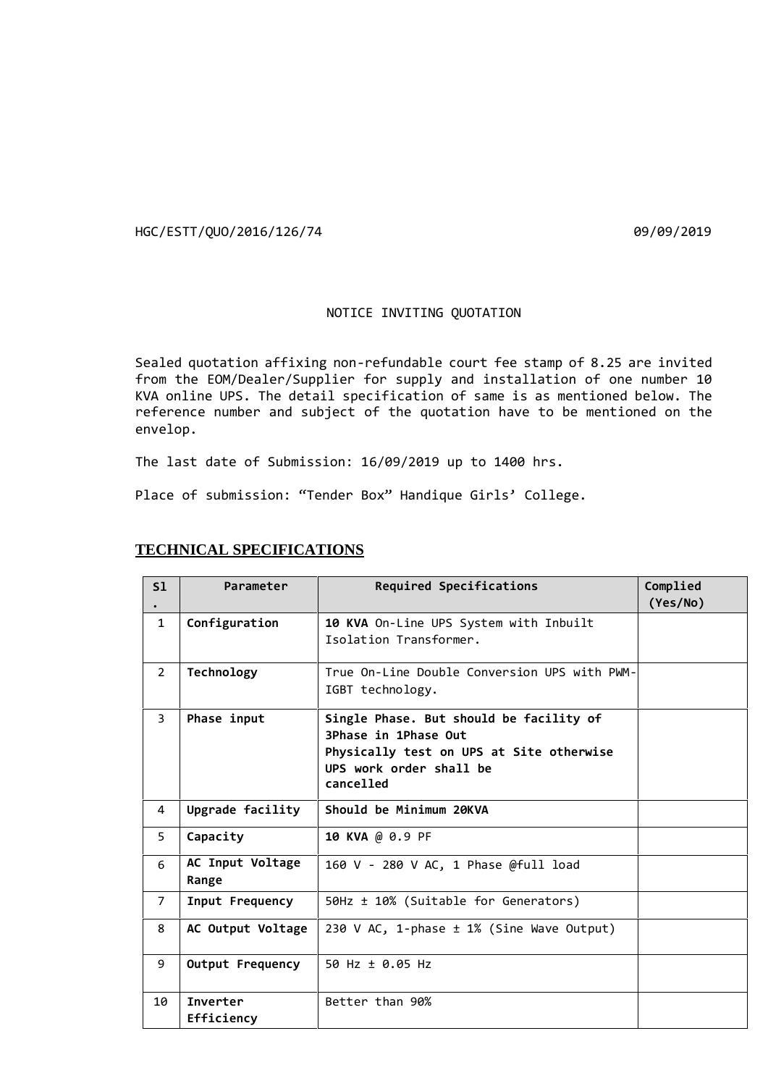HGC/ESTT/QUO/2016/126/74 09/09/2019

## NOTICE INVITING QUOTATION

Sealed quotation affixing non-refundable court fee stamp of 8.25 are invited from the EOM/Dealer/Supplier for supply and installation of one number 10 KVA online UPS. The detail specification of same is as mentioned below. The reference number and subject of the quotation have to be mentioned on the envelop.

The last date of Submission: 16/09/2019 up to 1400 hrs.

Place of submission: "Tender Box" Handique Girls' College.

| S1             | Parameter                 | Required Specifications                                                                                                                             | Complied<br>(Yes/No) |
|----------------|---------------------------|-----------------------------------------------------------------------------------------------------------------------------------------------------|----------------------|
| $\mathbf{1}$   | Configuration             | 10 KVA On-Line UPS System with Inbuilt<br>Isolation Iransformer.                                                                                    |                      |
| $\overline{2}$ | Technology                | True On-Line Double Conversion UPS with PWM-<br>IGBT technology.                                                                                    |                      |
| $\overline{3}$ | Phase input               | Single Phase. But should be facility of<br>3Phase in 1Phase Out<br>Physically test on UPS at Site otherwise<br>UPS work order shall be<br>cancelled |                      |
| 4              | Upgrade facility          | Should be Minimum 20KVA                                                                                                                             |                      |
| 5              | Capacity                  | 10 KVA @ 0.9 PF                                                                                                                                     |                      |
| 6              | AC Input Voltage<br>Range | 160 V - 280 V AC, 1 Phase @full load                                                                                                                |                      |
| $\overline{7}$ | Input Frequency           | 50Hz ± 10% (Suitable for Generators)                                                                                                                |                      |
| 8              | AC Output Voltage         | 230 V AC, 1-phase ± 1% (Sine Wave Output)                                                                                                           |                      |
| 9              | Output Frequency          | 50 Hz ± 0.05 Hz                                                                                                                                     |                      |
| 10             | Inverter<br>Efficiency    | Better than 90%                                                                                                                                     |                      |

## **TECHNICAL SPECIFICATIONS**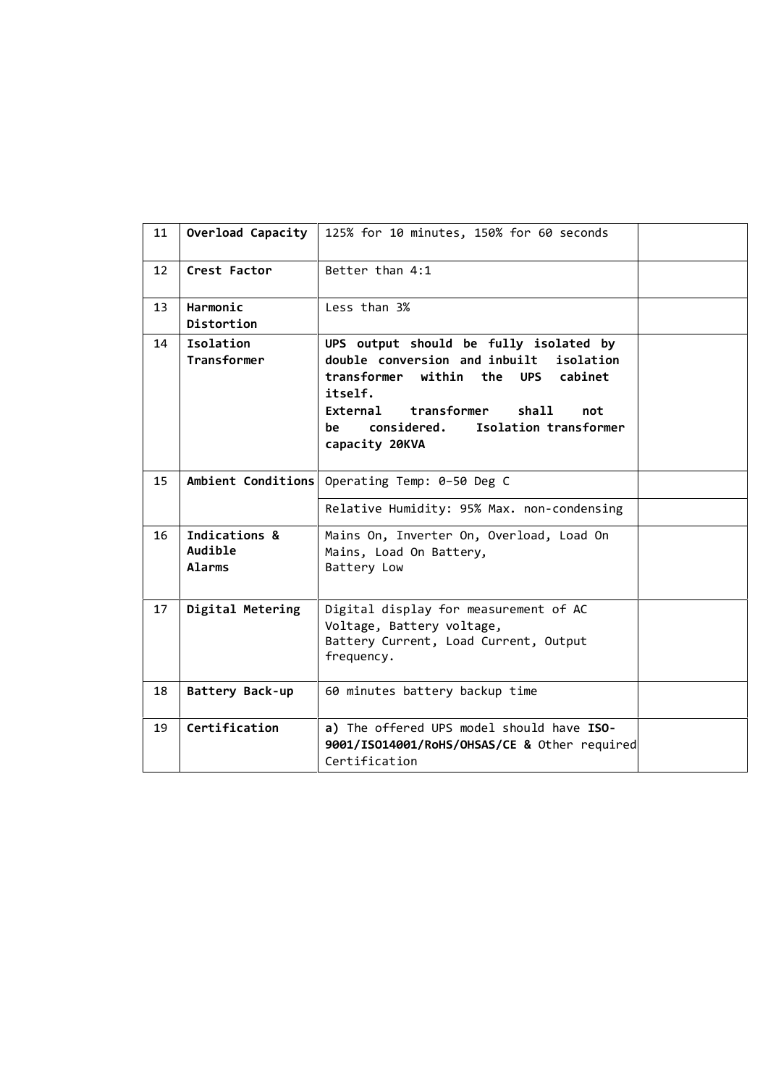| 11 | Overload Capacity                         | 125% for 10 minutes, 150% for 60 seconds                                                                                                                                                                                                         |  |
|----|-------------------------------------------|--------------------------------------------------------------------------------------------------------------------------------------------------------------------------------------------------------------------------------------------------|--|
| 12 | Crest Factor                              | Better than 4:1                                                                                                                                                                                                                                  |  |
| 13 | Harmonic<br>Distortion                    | Less than 3%                                                                                                                                                                                                                                     |  |
| 14 | Isolation<br>Transformer                  | UPS output should be fully isolated by<br>double conversion and inbuilt<br>isolation<br>transformer within the UPS cabinet<br>itself.<br>External<br>transformer<br>shall<br>not<br>Isolation transformer<br>considered.<br>be<br>capacity 20KVA |  |
| 15 |                                           | Ambient Conditions Operating Temp: 0-50 Deg C                                                                                                                                                                                                    |  |
|    |                                           | Relative Humidity: 95% Max. non-condensing                                                                                                                                                                                                       |  |
| 16 | Indications &<br>Audible<br><b>Alarms</b> | Mains On, Inverter On, Overload, Load On<br>Mains, Load On Battery,<br>Battery Low                                                                                                                                                               |  |
| 17 | Digital Metering                          | Digital display for measurement of AC<br>Voltage, Battery voltage,<br>Battery Current, Load Current, Output<br>frequency.                                                                                                                        |  |
| 18 | Battery Back-up                           | 60 minutes battery backup time                                                                                                                                                                                                                   |  |
| 19 | Certification                             | a) The offered UPS model should have ISO-<br>9001/IS014001/RoHS/OHSAS/CE & Other required<br>Certification                                                                                                                                       |  |